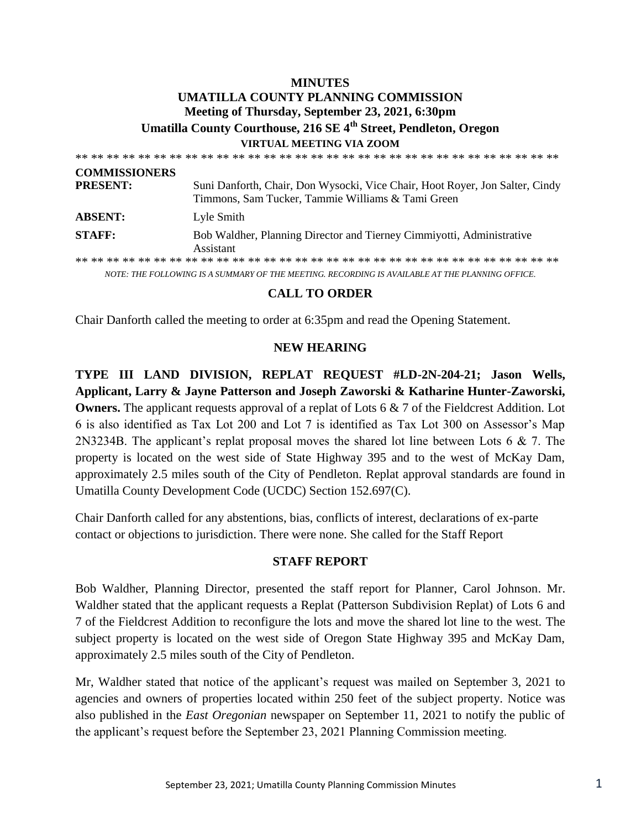# **MINUTES UMATILLA COUNTY PLANNING COMMISSION Meeting of Thursday, September 23, 2021, 6:30pm Umatilla County Courthouse, 216 SE 4th Street, Pendleton, Oregon VIRTUAL MEETING VIA ZOOM**

\*\* \*\* \*\* \*\* \*\* \*\* \*\* \*\* \*\* \*\* \*\* \*\* \*\* \*\* \*\* \*\* \*\* \*\* \*\* \*\* \*\* \*\* \*\* \*\* \*\* \*\* \*\* \*\* \*\* \*\* \*\* **COMMISSIONERS PRESENT:** Suni Danforth, Chair, Don Wysocki, Vice Chair, Hoot Royer, Jon Salter, Cindy Timmons, Sam Tucker, Tammie Williams & Tami Green **ABSENT:** Lyle Smith **STAFF:** Bob Waldher, Planning Director and Tierney Cimmiyotti, Administrative Assistant \*\* \*\* \*\* \*\* \*\* \*\* \*\* \*\* \*\* \*\* \*\* \*\* \*\* \*\* \*\* \*\* \*\* \*\* \*\* \*\* \*\* \*\* \*\* \*\* \*\* \*\* \*\* \*\* \*\* \*\* \*\*

*NOTE: THE FOLLOWING IS A SUMMARY OF THE MEETING. RECORDING IS AVAILABLE AT THE PLANNING OFFICE.*

### **CALL TO ORDER**

Chair Danforth called the meeting to order at 6:35pm and read the Opening Statement.

### **NEW HEARING**

**TYPE III LAND DIVISION, REPLAT REQUEST #LD-2N-204-21; Jason Wells, Applicant, Larry & Jayne Patterson and Joseph Zaworski & Katharine Hunter-Zaworski, Owners.** The applicant requests approval of a replat of Lots 6 & 7 of the Fieldcrest Addition. Lot 6 is also identified as Tax Lot 200 and Lot 7 is identified as Tax Lot 300 on Assessor's Map 2N3234B. The applicant's replat proposal moves the shared lot line between Lots 6 & 7. The property is located on the west side of State Highway 395 and to the west of McKay Dam, approximately 2.5 miles south of the City of Pendleton. Replat approval standards are found in Umatilla County Development Code (UCDC) Section 152.697(C).

Chair Danforth called for any abstentions, bias, conflicts of interest, declarations of ex-parte contact or objections to jurisdiction. There were none. She called for the Staff Report

#### **STAFF REPORT**

Bob Waldher, Planning Director, presented the staff report for Planner, Carol Johnson. Mr. Waldher stated that the applicant requests a Replat (Patterson Subdivision Replat) of Lots 6 and 7 of the Fieldcrest Addition to reconfigure the lots and move the shared lot line to the west. The subject property is located on the west side of Oregon State Highway 395 and McKay Dam, approximately 2.5 miles south of the City of Pendleton.

Mr, Waldher stated that notice of the applicant's request was mailed on September 3, 2021 to agencies and owners of properties located within 250 feet of the subject property. Notice was also published in the *East Oregonian* newspaper on September 11, 2021 to notify the public of the applicant's request before the September 23, 2021 Planning Commission meeting.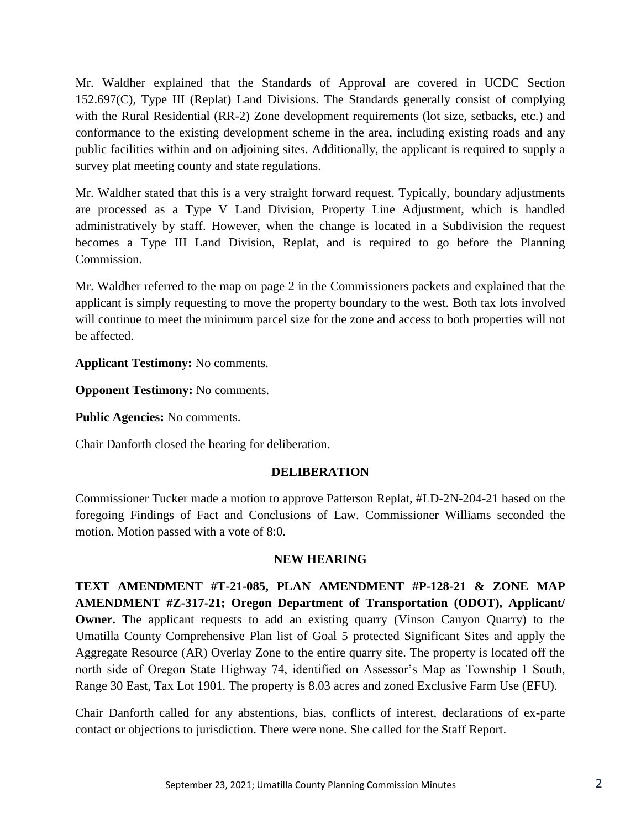Mr. Waldher explained that the Standards of Approval are covered in UCDC Section 152.697(C), Type III (Replat) Land Divisions. The Standards generally consist of complying with the Rural Residential (RR-2) Zone development requirements (lot size, setbacks, etc.) and conformance to the existing development scheme in the area, including existing roads and any public facilities within and on adjoining sites. Additionally, the applicant is required to supply a survey plat meeting county and state regulations.

Mr. Waldher stated that this is a very straight forward request. Typically, boundary adjustments are processed as a Type V Land Division, Property Line Adjustment, which is handled administratively by staff. However, when the change is located in a Subdivision the request becomes a Type III Land Division, Replat, and is required to go before the Planning Commission.

Mr. Waldher referred to the map on page 2 in the Commissioners packets and explained that the applicant is simply requesting to move the property boundary to the west. Both tax lots involved will continue to meet the minimum parcel size for the zone and access to both properties will not be affected.

**Applicant Testimony:** No comments.

**Opponent Testimony:** No comments.

**Public Agencies:** No comments.

Chair Danforth closed the hearing for deliberation.

### **DELIBERATION**

Commissioner Tucker made a motion to approve Patterson Replat, #LD-2N-204-21 based on the foregoing Findings of Fact and Conclusions of Law. Commissioner Williams seconded the motion. Motion passed with a vote of 8:0.

### **NEW HEARING**

**TEXT AMENDMENT #T-21-085, PLAN AMENDMENT #P-128-21 & ZONE MAP AMENDMENT #Z-317-21; Oregon Department of Transportation (ODOT), Applicant/ Owner.** The applicant requests to add an existing quarry (Vinson Canyon Quarry) to the Umatilla County Comprehensive Plan list of Goal 5 protected Significant Sites and apply the Aggregate Resource (AR) Overlay Zone to the entire quarry site. The property is located off the north side of Oregon State Highway 74, identified on Assessor's Map as Township 1 South, Range 30 East, Tax Lot 1901. The property is 8.03 acres and zoned Exclusive Farm Use (EFU).

Chair Danforth called for any abstentions, bias, conflicts of interest, declarations of ex-parte contact or objections to jurisdiction. There were none. She called for the Staff Report.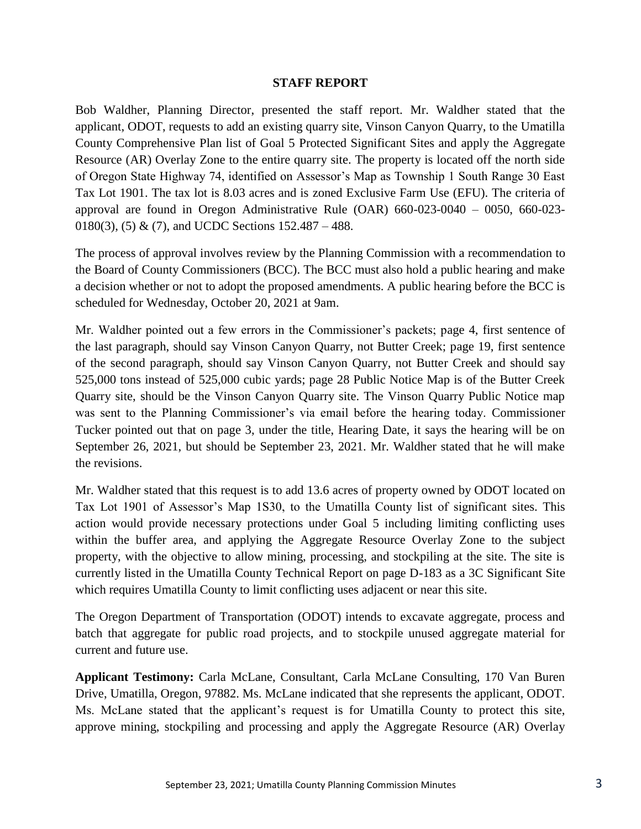### **STAFF REPORT**

Bob Waldher, Planning Director, presented the staff report. Mr. Waldher stated that the applicant, ODOT, requests to add an existing quarry site, Vinson Canyon Quarry, to the Umatilla County Comprehensive Plan list of Goal 5 Protected Significant Sites and apply the Aggregate Resource (AR) Overlay Zone to the entire quarry site. The property is located off the north side of Oregon State Highway 74, identified on Assessor's Map as Township 1 South Range 30 East Tax Lot 1901. The tax lot is 8.03 acres and is zoned Exclusive Farm Use (EFU). The criteria of approval are found in Oregon Administrative Rule (OAR) 660-023-0040 – 0050, 660-023- 0180(3), (5) & (7), and UCDC Sections  $152.487 - 488$ .

The process of approval involves review by the Planning Commission with a recommendation to the Board of County Commissioners (BCC). The BCC must also hold a public hearing and make a decision whether or not to adopt the proposed amendments. A public hearing before the BCC is scheduled for Wednesday, October 20, 2021 at 9am.

Mr. Waldher pointed out a few errors in the Commissioner's packets; page 4, first sentence of the last paragraph, should say Vinson Canyon Quarry, not Butter Creek; page 19, first sentence of the second paragraph, should say Vinson Canyon Quarry, not Butter Creek and should say 525,000 tons instead of 525,000 cubic yards; page 28 Public Notice Map is of the Butter Creek Quarry site, should be the Vinson Canyon Quarry site. The Vinson Quarry Public Notice map was sent to the Planning Commissioner's via email before the hearing today. Commissioner Tucker pointed out that on page 3, under the title, Hearing Date, it says the hearing will be on September 26, 2021, but should be September 23, 2021. Mr. Waldher stated that he will make the revisions.

Mr. Waldher stated that this request is to add 13.6 acres of property owned by ODOT located on Tax Lot 1901 of Assessor's Map 1S30, to the Umatilla County list of significant sites. This action would provide necessary protections under Goal 5 including limiting conflicting uses within the buffer area, and applying the Aggregate Resource Overlay Zone to the subject property, with the objective to allow mining, processing, and stockpiling at the site. The site is currently listed in the Umatilla County Technical Report on page D-183 as a 3C Significant Site which requires Umatilla County to limit conflicting uses adjacent or near this site.

The Oregon Department of Transportation (ODOT) intends to excavate aggregate, process and batch that aggregate for public road projects, and to stockpile unused aggregate material for current and future use.

**Applicant Testimony:** Carla McLane, Consultant, Carla McLane Consulting, 170 Van Buren Drive, Umatilla, Oregon, 97882. Ms. McLane indicated that she represents the applicant, ODOT. Ms. McLane stated that the applicant's request is for Umatilla County to protect this site, approve mining, stockpiling and processing and apply the Aggregate Resource (AR) Overlay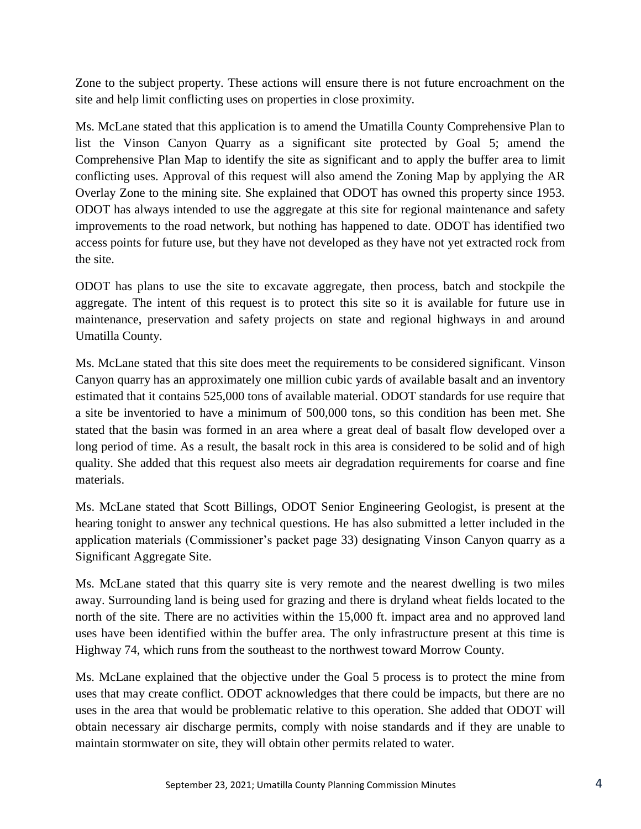Zone to the subject property. These actions will ensure there is not future encroachment on the site and help limit conflicting uses on properties in close proximity.

Ms. McLane stated that this application is to amend the Umatilla County Comprehensive Plan to list the Vinson Canyon Quarry as a significant site protected by Goal 5; amend the Comprehensive Plan Map to identify the site as significant and to apply the buffer area to limit conflicting uses. Approval of this request will also amend the Zoning Map by applying the AR Overlay Zone to the mining site. She explained that ODOT has owned this property since 1953. ODOT has always intended to use the aggregate at this site for regional maintenance and safety improvements to the road network, but nothing has happened to date. ODOT has identified two access points for future use, but they have not developed as they have not yet extracted rock from the site.

ODOT has plans to use the site to excavate aggregate, then process, batch and stockpile the aggregate. The intent of this request is to protect this site so it is available for future use in maintenance, preservation and safety projects on state and regional highways in and around Umatilla County.

Ms. McLane stated that this site does meet the requirements to be considered significant. Vinson Canyon quarry has an approximately one million cubic yards of available basalt and an inventory estimated that it contains 525,000 tons of available material. ODOT standards for use require that a site be inventoried to have a minimum of 500,000 tons, so this condition has been met. She stated that the basin was formed in an area where a great deal of basalt flow developed over a long period of time. As a result, the basalt rock in this area is considered to be solid and of high quality. She added that this request also meets air degradation requirements for coarse and fine materials.

Ms. McLane stated that Scott Billings, ODOT Senior Engineering Geologist, is present at the hearing tonight to answer any technical questions. He has also submitted a letter included in the application materials (Commissioner's packet page 33) designating Vinson Canyon quarry as a Significant Aggregate Site.

Ms. McLane stated that this quarry site is very remote and the nearest dwelling is two miles away. Surrounding land is being used for grazing and there is dryland wheat fields located to the north of the site. There are no activities within the 15,000 ft. impact area and no approved land uses have been identified within the buffer area. The only infrastructure present at this time is Highway 74, which runs from the southeast to the northwest toward Morrow County.

Ms. McLane explained that the objective under the Goal 5 process is to protect the mine from uses that may create conflict. ODOT acknowledges that there could be impacts, but there are no uses in the area that would be problematic relative to this operation. She added that ODOT will obtain necessary air discharge permits, comply with noise standards and if they are unable to maintain stormwater on site, they will obtain other permits related to water.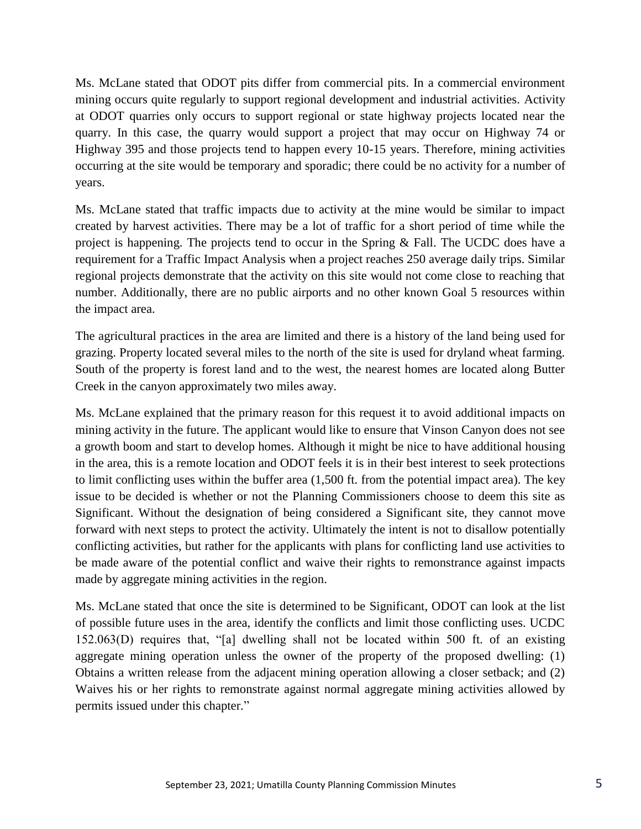Ms. McLane stated that ODOT pits differ from commercial pits. In a commercial environment mining occurs quite regularly to support regional development and industrial activities. Activity at ODOT quarries only occurs to support regional or state highway projects located near the quarry. In this case, the quarry would support a project that may occur on Highway 74 or Highway 395 and those projects tend to happen every 10-15 years. Therefore, mining activities occurring at the site would be temporary and sporadic; there could be no activity for a number of years.

Ms. McLane stated that traffic impacts due to activity at the mine would be similar to impact created by harvest activities. There may be a lot of traffic for a short period of time while the project is happening. The projects tend to occur in the Spring  $\&$  Fall. The UCDC does have a requirement for a Traffic Impact Analysis when a project reaches 250 average daily trips. Similar regional projects demonstrate that the activity on this site would not come close to reaching that number. Additionally, there are no public airports and no other known Goal 5 resources within the impact area.

The agricultural practices in the area are limited and there is a history of the land being used for grazing. Property located several miles to the north of the site is used for dryland wheat farming. South of the property is forest land and to the west, the nearest homes are located along Butter Creek in the canyon approximately two miles away.

Ms. McLane explained that the primary reason for this request it to avoid additional impacts on mining activity in the future. The applicant would like to ensure that Vinson Canyon does not see a growth boom and start to develop homes. Although it might be nice to have additional housing in the area, this is a remote location and ODOT feels it is in their best interest to seek protections to limit conflicting uses within the buffer area (1,500 ft. from the potential impact area). The key issue to be decided is whether or not the Planning Commissioners choose to deem this site as Significant. Without the designation of being considered a Significant site, they cannot move forward with next steps to protect the activity. Ultimately the intent is not to disallow potentially conflicting activities, but rather for the applicants with plans for conflicting land use activities to be made aware of the potential conflict and waive their rights to remonstrance against impacts made by aggregate mining activities in the region.

Ms. McLane stated that once the site is determined to be Significant, ODOT can look at the list of possible future uses in the area, identify the conflicts and limit those conflicting uses. UCDC 152.063(D) requires that, "[a] dwelling shall not be located within 500 ft. of an existing aggregate mining operation unless the owner of the property of the proposed dwelling: (1) Obtains a written release from the adjacent mining operation allowing a closer setback; and (2) Waives his or her rights to remonstrate against normal aggregate mining activities allowed by permits issued under this chapter."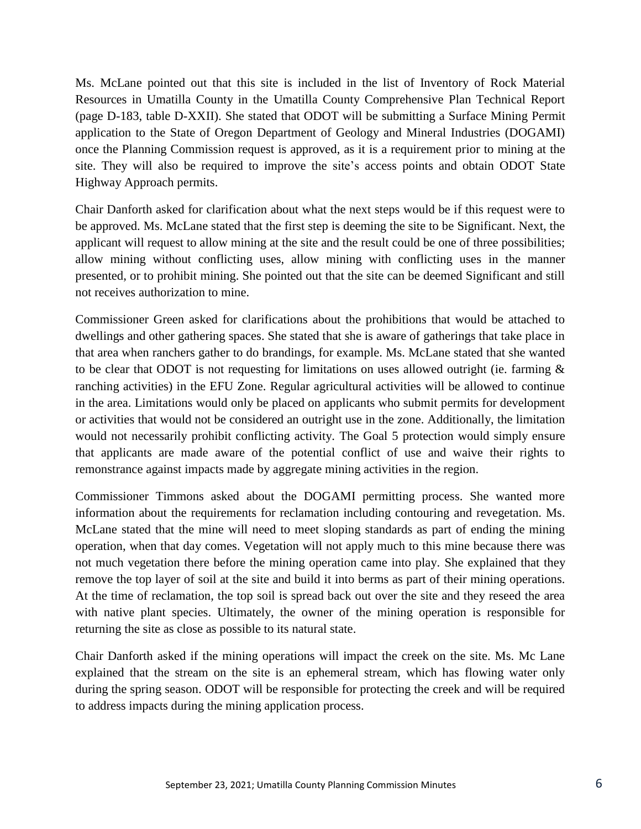Ms. McLane pointed out that this site is included in the list of Inventory of Rock Material Resources in Umatilla County in the Umatilla County Comprehensive Plan Technical Report (page D-183, table D-XXII). She stated that ODOT will be submitting a Surface Mining Permit application to the State of Oregon Department of Geology and Mineral Industries (DOGAMI) once the Planning Commission request is approved, as it is a requirement prior to mining at the site. They will also be required to improve the site's access points and obtain ODOT State Highway Approach permits.

Chair Danforth asked for clarification about what the next steps would be if this request were to be approved. Ms. McLane stated that the first step is deeming the site to be Significant. Next, the applicant will request to allow mining at the site and the result could be one of three possibilities; allow mining without conflicting uses, allow mining with conflicting uses in the manner presented, or to prohibit mining. She pointed out that the site can be deemed Significant and still not receives authorization to mine.

Commissioner Green asked for clarifications about the prohibitions that would be attached to dwellings and other gathering spaces. She stated that she is aware of gatherings that take place in that area when ranchers gather to do brandings, for example. Ms. McLane stated that she wanted to be clear that ODOT is not requesting for limitations on uses allowed outright (ie. farming  $\&$ ranching activities) in the EFU Zone. Regular agricultural activities will be allowed to continue in the area. Limitations would only be placed on applicants who submit permits for development or activities that would not be considered an outright use in the zone. Additionally, the limitation would not necessarily prohibit conflicting activity. The Goal 5 protection would simply ensure that applicants are made aware of the potential conflict of use and waive their rights to remonstrance against impacts made by aggregate mining activities in the region.

Commissioner Timmons asked about the DOGAMI permitting process. She wanted more information about the requirements for reclamation including contouring and revegetation. Ms. McLane stated that the mine will need to meet sloping standards as part of ending the mining operation, when that day comes. Vegetation will not apply much to this mine because there was not much vegetation there before the mining operation came into play. She explained that they remove the top layer of soil at the site and build it into berms as part of their mining operations. At the time of reclamation, the top soil is spread back out over the site and they reseed the area with native plant species. Ultimately, the owner of the mining operation is responsible for returning the site as close as possible to its natural state.

Chair Danforth asked if the mining operations will impact the creek on the site. Ms. Mc Lane explained that the stream on the site is an ephemeral stream, which has flowing water only during the spring season. ODOT will be responsible for protecting the creek and will be required to address impacts during the mining application process.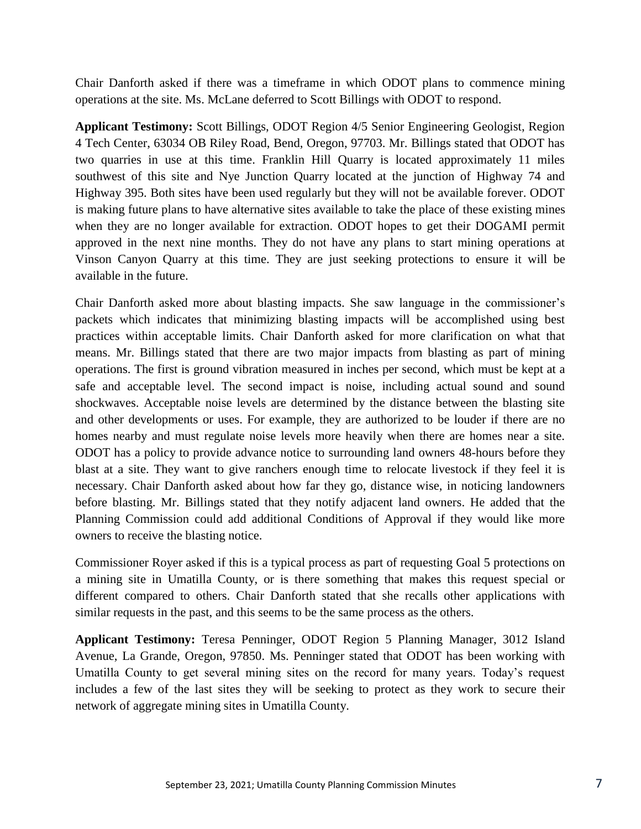Chair Danforth asked if there was a timeframe in which ODOT plans to commence mining operations at the site. Ms. McLane deferred to Scott Billings with ODOT to respond.

**Applicant Testimony:** Scott Billings, ODOT Region 4/5 Senior Engineering Geologist, Region 4 Tech Center, 63034 OB Riley Road, Bend, Oregon, 97703. Mr. Billings stated that ODOT has two quarries in use at this time. Franklin Hill Quarry is located approximately 11 miles southwest of this site and Nye Junction Quarry located at the junction of Highway 74 and Highway 395. Both sites have been used regularly but they will not be available forever. ODOT is making future plans to have alternative sites available to take the place of these existing mines when they are no longer available for extraction. ODOT hopes to get their DOGAMI permit approved in the next nine months. They do not have any plans to start mining operations at Vinson Canyon Quarry at this time. They are just seeking protections to ensure it will be available in the future.

Chair Danforth asked more about blasting impacts. She saw language in the commissioner's packets which indicates that minimizing blasting impacts will be accomplished using best practices within acceptable limits. Chair Danforth asked for more clarification on what that means. Mr. Billings stated that there are two major impacts from blasting as part of mining operations. The first is ground vibration measured in inches per second, which must be kept at a safe and acceptable level. The second impact is noise, including actual sound and sound shockwaves. Acceptable noise levels are determined by the distance between the blasting site and other developments or uses. For example, they are authorized to be louder if there are no homes nearby and must regulate noise levels more heavily when there are homes near a site. ODOT has a policy to provide advance notice to surrounding land owners 48-hours before they blast at a site. They want to give ranchers enough time to relocate livestock if they feel it is necessary. Chair Danforth asked about how far they go, distance wise, in noticing landowners before blasting. Mr. Billings stated that they notify adjacent land owners. He added that the Planning Commission could add additional Conditions of Approval if they would like more owners to receive the blasting notice.

Commissioner Royer asked if this is a typical process as part of requesting Goal 5 protections on a mining site in Umatilla County, or is there something that makes this request special or different compared to others. Chair Danforth stated that she recalls other applications with similar requests in the past, and this seems to be the same process as the others.

**Applicant Testimony:** Teresa Penninger, ODOT Region 5 Planning Manager, 3012 Island Avenue, La Grande, Oregon, 97850. Ms. Penninger stated that ODOT has been working with Umatilla County to get several mining sites on the record for many years. Today's request includes a few of the last sites they will be seeking to protect as they work to secure their network of aggregate mining sites in Umatilla County.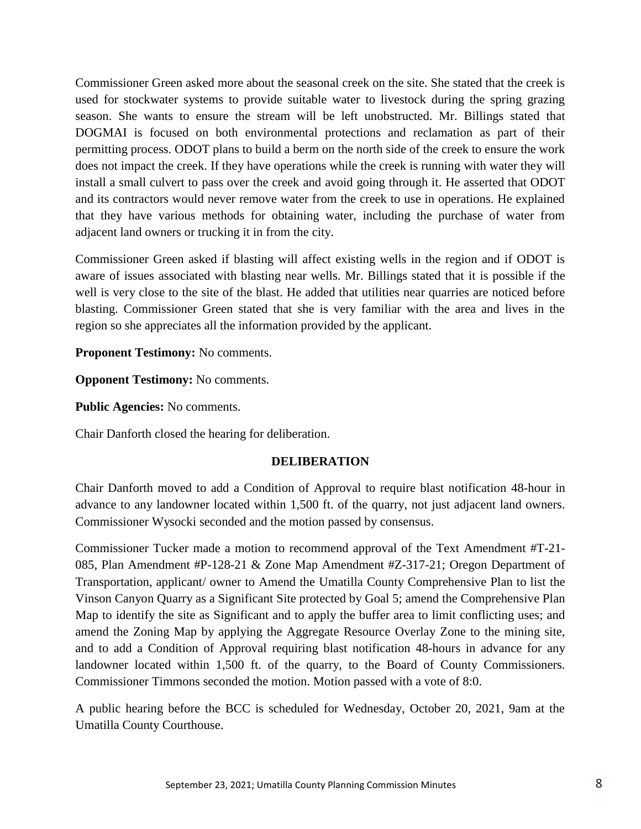Commissioner Green asked more about the seasonal creek on the site. She stated that the creek is used for stockwater systems to provide suitable water to livestock during the spring grazing season. She wants to ensure the stream will be left unobstructed. Mr. Billings stated that DOGMAI is focused on both environmental protections and reclamation as part of their permitting process. ODOT plans to build a berm on the north side of the creek to ensure the work does not impact the creek. If they have operations while the creek is running with water they will install a small culvert to pass over the creek and avoid going through it. He asserted that ODOT and its contractors would never remove water from the creek to use in operations. He explained that they have various methods for obtaining water, including the purchase of water from adjacent land owners or trucking it in from the city.

Commissioner Green asked if blasting will affect existing wells in the region and if ODOT is aware of issues associated with blasting near wells. Mr. Billings stated that it is possible if the well is very close to the site of the blast. He added that utilities near quarries are noticed before blasting. Commissioner Green stated that she is very familiar with the area and lives in the region so she appreciates all the information provided by the applicant.

**Proponent Testimony:** No comments.

**Opponent Testimony:** No comments.

**Public Agencies:** No comments.

Chair Danforth closed the hearing for deliberation.

### **DELIBERATION**

Chair Danforth moved to add a Condition of Approval to require blast notification 48-hour in advance to any landowner located within 1,500 ft. of the quarry, not just adjacent land owners. Commissioner Wysocki seconded and the motion passed by consensus.

Commissioner Tucker made a motion to recommend approval of the Text Amendment #T-21- 085, Plan Amendment #P-128-21 & Zone Map Amendment #Z-317-21; Oregon Department of Transportation, applicant/ owner to Amend the Umatilla County Comprehensive Plan to list the Vinson Canyon Quarry as a Significant Site protected by Goal 5; amend the Comprehensive Plan Map to identify the site as Significant and to apply the buffer area to limit conflicting uses; and amend the Zoning Map by applying the Aggregate Resource Overlay Zone to the mining site, and to add a Condition of Approval requiring blast notification 48-hours in advance for any landowner located within 1,500 ft. of the quarry, to the Board of County Commissioners. Commissioner Timmons seconded the motion. Motion passed with a vote of 8:0.

A public hearing before the BCC is scheduled for Wednesday, October 20, 2021, 9am at the Umatilla County Courthouse.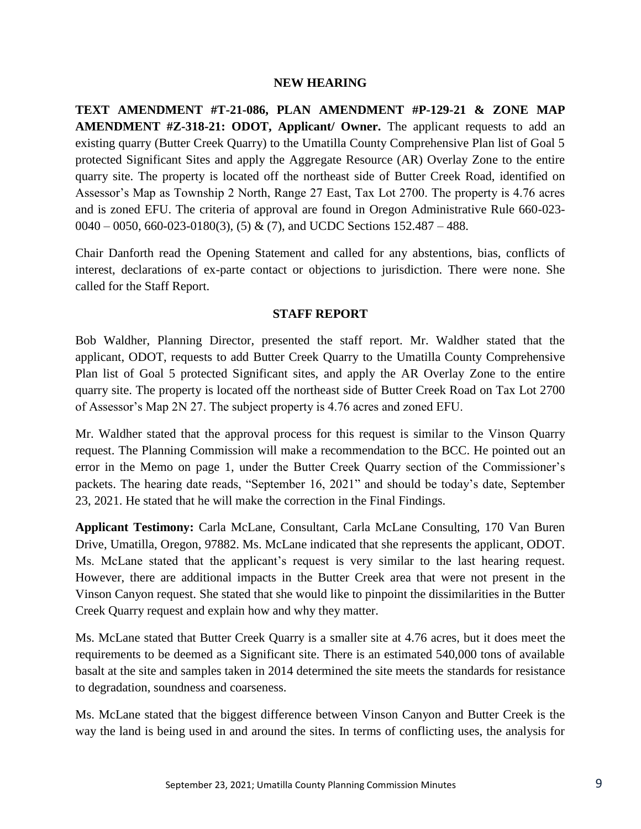#### **NEW HEARING**

**TEXT AMENDMENT #T-21-086, PLAN AMENDMENT #P-129-21 & ZONE MAP AMENDMENT #Z-318-21: ODOT, Applicant/ Owner.** The applicant requests to add an existing quarry (Butter Creek Quarry) to the Umatilla County Comprehensive Plan list of Goal 5 protected Significant Sites and apply the Aggregate Resource (AR) Overlay Zone to the entire quarry site. The property is located off the northeast side of Butter Creek Road, identified on Assessor's Map as Township 2 North, Range 27 East, Tax Lot 2700. The property is 4.76 acres and is zoned EFU. The criteria of approval are found in Oregon Administrative Rule 660-023-  $0.040 - 0.050, 660 - 0.023 - 0.180(3), 5 \& 7$ , and UCDC Sections 152.487 – 488.

Chair Danforth read the Opening Statement and called for any abstentions, bias, conflicts of interest, declarations of ex-parte contact or objections to jurisdiction. There were none. She called for the Staff Report.

## **STAFF REPORT**

Bob Waldher, Planning Director, presented the staff report. Mr. Waldher stated that the applicant, ODOT, requests to add Butter Creek Quarry to the Umatilla County Comprehensive Plan list of Goal 5 protected Significant sites, and apply the AR Overlay Zone to the entire quarry site. The property is located off the northeast side of Butter Creek Road on Tax Lot 2700 of Assessor's Map 2N 27. The subject property is 4.76 acres and zoned EFU.

Mr. Waldher stated that the approval process for this request is similar to the Vinson Quarry request. The Planning Commission will make a recommendation to the BCC. He pointed out an error in the Memo on page 1, under the Butter Creek Quarry section of the Commissioner's packets. The hearing date reads, "September 16, 2021" and should be today's date, September 23, 2021. He stated that he will make the correction in the Final Findings.

**Applicant Testimony:** Carla McLane, Consultant, Carla McLane Consulting, 170 Van Buren Drive, Umatilla, Oregon, 97882. Ms. McLane indicated that she represents the applicant, ODOT. Ms. McLane stated that the applicant's request is very similar to the last hearing request. However, there are additional impacts in the Butter Creek area that were not present in the Vinson Canyon request. She stated that she would like to pinpoint the dissimilarities in the Butter Creek Quarry request and explain how and why they matter.

Ms. McLane stated that Butter Creek Quarry is a smaller site at 4.76 acres, but it does meet the requirements to be deemed as a Significant site. There is an estimated 540,000 tons of available basalt at the site and samples taken in 2014 determined the site meets the standards for resistance to degradation, soundness and coarseness.

Ms. McLane stated that the biggest difference between Vinson Canyon and Butter Creek is the way the land is being used in and around the sites. In terms of conflicting uses, the analysis for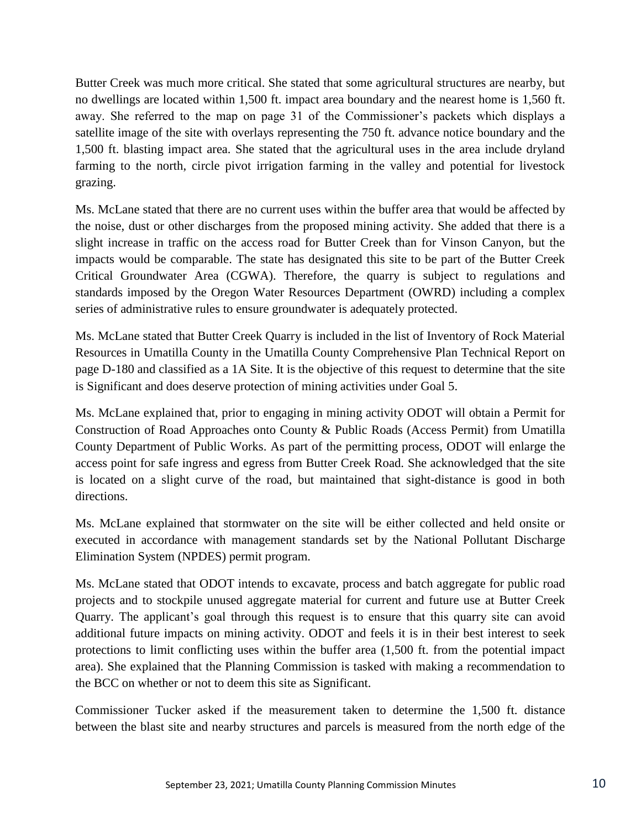Butter Creek was much more critical. She stated that some agricultural structures are nearby, but no dwellings are located within 1,500 ft. impact area boundary and the nearest home is 1,560 ft. away. She referred to the map on page 31 of the Commissioner's packets which displays a satellite image of the site with overlays representing the 750 ft. advance notice boundary and the 1,500 ft. blasting impact area. She stated that the agricultural uses in the area include dryland farming to the north, circle pivot irrigation farming in the valley and potential for livestock grazing.

Ms. McLane stated that there are no current uses within the buffer area that would be affected by the noise, dust or other discharges from the proposed mining activity. She added that there is a slight increase in traffic on the access road for Butter Creek than for Vinson Canyon, but the impacts would be comparable. The state has designated this site to be part of the Butter Creek Critical Groundwater Area (CGWA). Therefore, the quarry is subject to regulations and standards imposed by the Oregon Water Resources Department (OWRD) including a complex series of administrative rules to ensure groundwater is adequately protected.

Ms. McLane stated that Butter Creek Quarry is included in the list of Inventory of Rock Material Resources in Umatilla County in the Umatilla County Comprehensive Plan Technical Report on page D-180 and classified as a 1A Site. It is the objective of this request to determine that the site is Significant and does deserve protection of mining activities under Goal 5.

Ms. McLane explained that, prior to engaging in mining activity ODOT will obtain a Permit for Construction of Road Approaches onto County & Public Roads (Access Permit) from Umatilla County Department of Public Works. As part of the permitting process, ODOT will enlarge the access point for safe ingress and egress from Butter Creek Road. She acknowledged that the site is located on a slight curve of the road, but maintained that sight-distance is good in both directions.

Ms. McLane explained that stormwater on the site will be either collected and held onsite or executed in accordance with management standards set by the National Pollutant Discharge Elimination System (NPDES) permit program.

Ms. McLane stated that ODOT intends to excavate, process and batch aggregate for public road projects and to stockpile unused aggregate material for current and future use at Butter Creek Quarry. The applicant's goal through this request is to ensure that this quarry site can avoid additional future impacts on mining activity. ODOT and feels it is in their best interest to seek protections to limit conflicting uses within the buffer area (1,500 ft. from the potential impact area). She explained that the Planning Commission is tasked with making a recommendation to the BCC on whether or not to deem this site as Significant.

Commissioner Tucker asked if the measurement taken to determine the 1,500 ft. distance between the blast site and nearby structures and parcels is measured from the north edge of the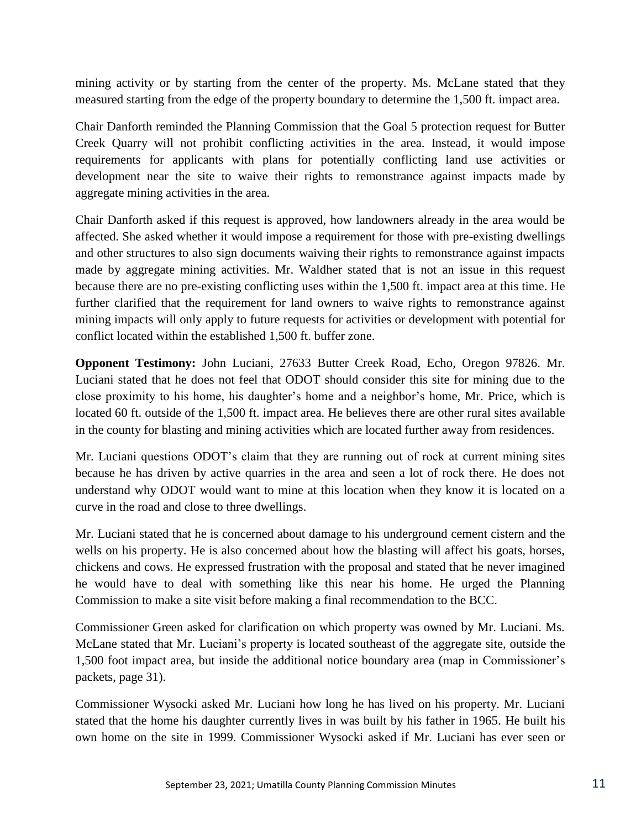mining activity or by starting from the center of the property. Ms. McLane stated that they measured starting from the edge of the property boundary to determine the 1,500 ft. impact area.

Chair Danforth reminded the Planning Commission that the Goal 5 protection request for Butter Creek Quarry will not prohibit conflicting activities in the area. Instead, it would impose requirements for applicants with plans for potentially conflicting land use activities or development near the site to waive their rights to remonstrance against impacts made by aggregate mining activities in the area.

Chair Danforth asked if this request is approved, how landowners already in the area would be affected. She asked whether it would impose a requirement for those with pre-existing dwellings and other structures to also sign documents waiving their rights to remonstrance against impacts made by aggregate mining activities. Mr. Waldher stated that is not an issue in this request because there are no pre-existing conflicting uses within the 1,500 ft. impact area at this time. He further clarified that the requirement for land owners to waive rights to remonstrance against mining impacts will only apply to future requests for activities or development with potential for conflict located within the established 1,500 ft. buffer zone.

**Opponent Testimony:** John Luciani, 27633 Butter Creek Road, Echo, Oregon 97826. Mr. Luciani stated that he does not feel that ODOT should consider this site for mining due to the close proximity to his home, his daughter's home and a neighbor's home, Mr. Price, which is located 60 ft. outside of the 1,500 ft. impact area. He believes there are other rural sites available in the county for blasting and mining activities which are located further away from residences.

Mr. Luciani questions ODOT's claim that they are running out of rock at current mining sites because he has driven by active quarries in the area and seen a lot of rock there. He does not understand why ODOT would want to mine at this location when they know it is located on a curve in the road and close to three dwellings.

Mr. Luciani stated that he is concerned about damage to his underground cement cistern and the wells on his property. He is also concerned about how the blasting will affect his goats, horses, chickens and cows. He expressed frustration with the proposal and stated that he never imagined he would have to deal with something like this near his home. He urged the Planning Commission to make a site visit before making a final recommendation to the BCC.

Commissioner Green asked for clarification on which property was owned by Mr. Luciani. Ms. McLane stated that Mr. Luciani's property is located southeast of the aggregate site, outside the 1,500 foot impact area, but inside the additional notice boundary area (map in Commissioner's packets, page 31).

Commissioner Wysocki asked Mr. Luciani how long he has lived on his property. Mr. Luciani stated that the home his daughter currently lives in was built by his father in 1965. He built his own home on the site in 1999. Commissioner Wysocki asked if Mr. Luciani has ever seen or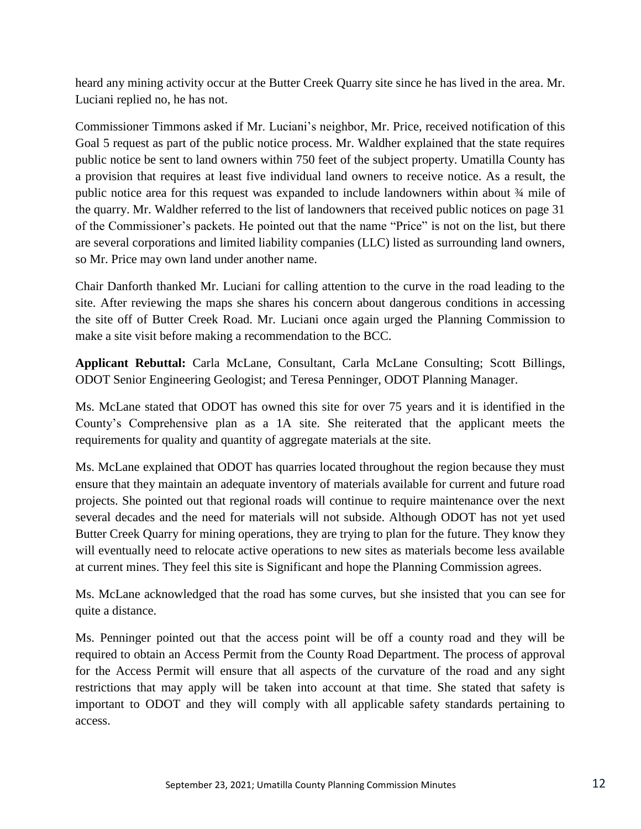heard any mining activity occur at the Butter Creek Quarry site since he has lived in the area. Mr. Luciani replied no, he has not.

Commissioner Timmons asked if Mr. Luciani's neighbor, Mr. Price, received notification of this Goal 5 request as part of the public notice process. Mr. Waldher explained that the state requires public notice be sent to land owners within 750 feet of the subject property. Umatilla County has a provision that requires at least five individual land owners to receive notice. As a result, the public notice area for this request was expanded to include landowners within about ¾ mile of the quarry. Mr. Waldher referred to the list of landowners that received public notices on page 31 of the Commissioner's packets. He pointed out that the name "Price" is not on the list, but there are several corporations and limited liability companies (LLC) listed as surrounding land owners, so Mr. Price may own land under another name.

Chair Danforth thanked Mr. Luciani for calling attention to the curve in the road leading to the site. After reviewing the maps she shares his concern about dangerous conditions in accessing the site off of Butter Creek Road. Mr. Luciani once again urged the Planning Commission to make a site visit before making a recommendation to the BCC.

**Applicant Rebuttal:** Carla McLane, Consultant, Carla McLane Consulting; Scott Billings, ODOT Senior Engineering Geologist; and Teresa Penninger, ODOT Planning Manager.

Ms. McLane stated that ODOT has owned this site for over 75 years and it is identified in the County's Comprehensive plan as a 1A site. She reiterated that the applicant meets the requirements for quality and quantity of aggregate materials at the site.

Ms. McLane explained that ODOT has quarries located throughout the region because they must ensure that they maintain an adequate inventory of materials available for current and future road projects. She pointed out that regional roads will continue to require maintenance over the next several decades and the need for materials will not subside. Although ODOT has not yet used Butter Creek Quarry for mining operations, they are trying to plan for the future. They know they will eventually need to relocate active operations to new sites as materials become less available at current mines. They feel this site is Significant and hope the Planning Commission agrees.

Ms. McLane acknowledged that the road has some curves, but she insisted that you can see for quite a distance.

Ms. Penninger pointed out that the access point will be off a county road and they will be required to obtain an Access Permit from the County Road Department. The process of approval for the Access Permit will ensure that all aspects of the curvature of the road and any sight restrictions that may apply will be taken into account at that time. She stated that safety is important to ODOT and they will comply with all applicable safety standards pertaining to access.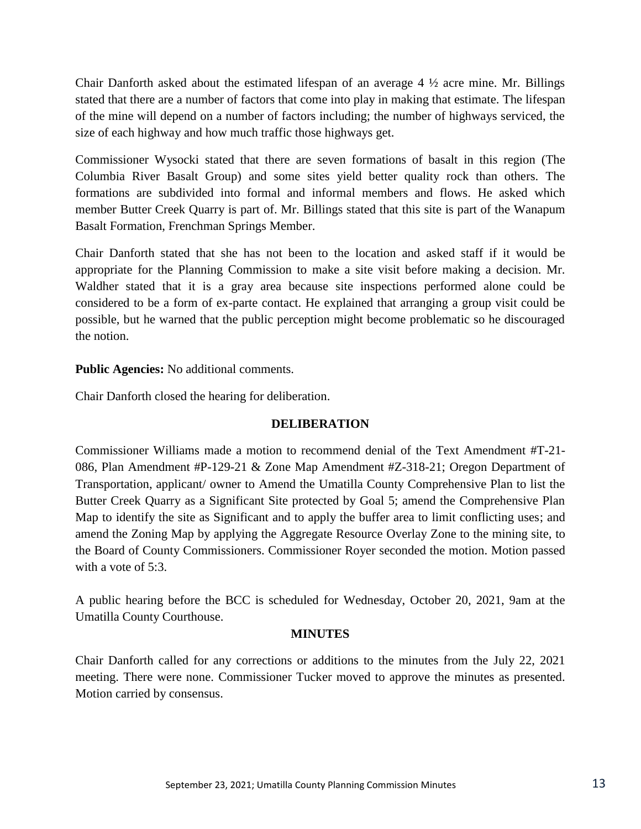Chair Danforth asked about the estimated lifespan of an average  $4\frac{1}{2}$  acre mine. Mr. Billings stated that there are a number of factors that come into play in making that estimate. The lifespan of the mine will depend on a number of factors including; the number of highways serviced, the size of each highway and how much traffic those highways get.

Commissioner Wysocki stated that there are seven formations of basalt in this region (The Columbia River Basalt Group) and some sites yield better quality rock than others. The formations are subdivided into formal and informal members and flows. He asked which member Butter Creek Quarry is part of. Mr. Billings stated that this site is part of the Wanapum Basalt Formation, Frenchman Springs Member.

Chair Danforth stated that she has not been to the location and asked staff if it would be appropriate for the Planning Commission to make a site visit before making a decision. Mr. Waldher stated that it is a gray area because site inspections performed alone could be considered to be a form of ex-parte contact. He explained that arranging a group visit could be possible, but he warned that the public perception might become problematic so he discouraged the notion.

**Public Agencies:** No additional comments.

Chair Danforth closed the hearing for deliberation.

# **DELIBERATION**

Commissioner Williams made a motion to recommend denial of the Text Amendment #T-21- 086, Plan Amendment #P-129-21 & Zone Map Amendment #Z-318-21; Oregon Department of Transportation, applicant/ owner to Amend the Umatilla County Comprehensive Plan to list the Butter Creek Quarry as a Significant Site protected by Goal 5; amend the Comprehensive Plan Map to identify the site as Significant and to apply the buffer area to limit conflicting uses; and amend the Zoning Map by applying the Aggregate Resource Overlay Zone to the mining site, to the Board of County Commissioners. Commissioner Royer seconded the motion. Motion passed with a vote of 5:3.

A public hearing before the BCC is scheduled for Wednesday, October 20, 2021, 9am at the Umatilla County Courthouse.

### **MINUTES**

Chair Danforth called for any corrections or additions to the minutes from the July 22, 2021 meeting. There were none. Commissioner Tucker moved to approve the minutes as presented. Motion carried by consensus.